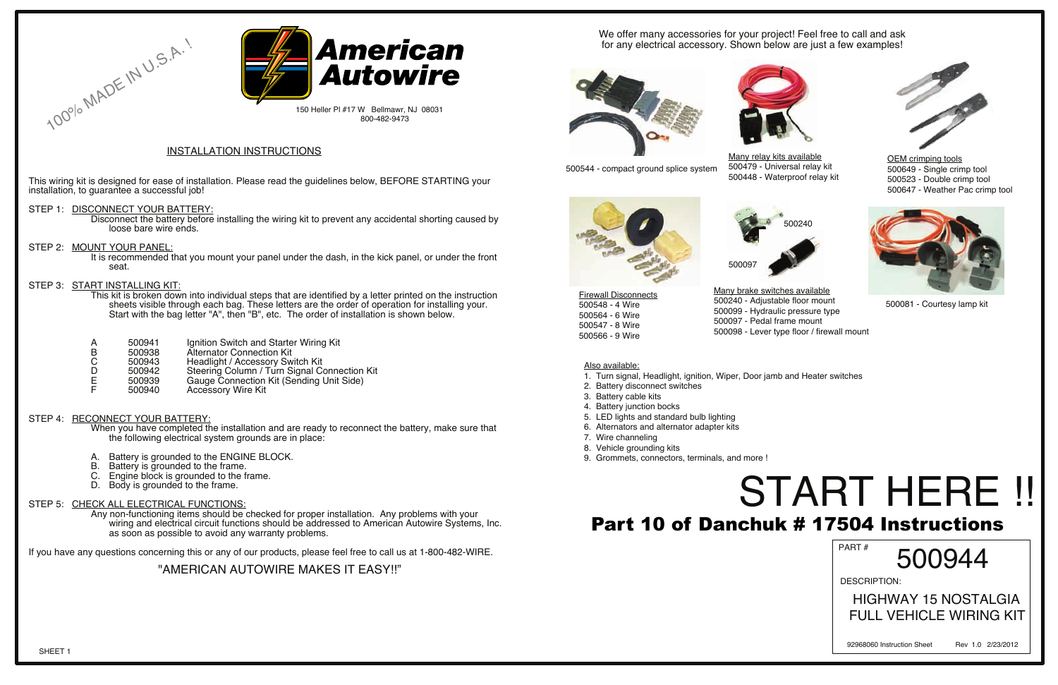This wiring kit is designed for ease of installation. Please read the guidelines below, BEFORE STARTING your installation, to guarantee a successful job!

#### STEP 1: DISCONNECT YOUR BATTERY:

100% MADE IN U.S.A.

Disconnect the battery before installing the wiring kit to prevent any accidental shorting caused by loose bare wire ends.

STEP 2: MOUNT YOUR PANEL:

It is recommended that you mount your panel under the dash, in the kick panel, or under the front seat.

#### STEP 3: START INSTALLING KIT:

This kit is broken down into individual steps that are identified by a letter printed on the instruction sheets visible through each bag. These letters are the order of operation for installing your. Start with the bag letter "A", then "B", etc. The order of installation is shown below.

- A. Battery is grounded to the ENGINE BLOCK.<br>B. Battery is grounded to the frame.
- B. Battery is grounded to the frame.<br>C. Engine block is grounded to the fi
- Engine block is grounded to the frame.
- D. Body is grounded to the frame.

| 500941 | Ignition Switch and Starter Wiring Kit |  |
|--------|----------------------------------------|--|
|        |                                        |  |

- B 500938 Alternator Connection Kit<br>C 500943 Headlight / Accessory Sw
- C 500943 Headlight / Accessory Switch Kit<br>D 500942 Steering Column / Turn Signal Co
- D 500942 Steering Column / Turn Signal Connection Kit<br>E 500939 Gauge Connection Kit (Sending Unit Side)
- E 500939 Gauge Connection Kit (Sending Unit Side)<br>F 500940 Accessory Wire Kit
- Accessory Wire Kit

#### STEP 4: RECONNECT YOUR BATTERY:

When you have completed the installation and are ready to reconnect the battery, make sure that the following electrical system grounds are in place:

#### STEP 5: CHECK ALL ELECTRICAL FUNCTIONS:

Any non-functioning items should be checked for proper installation. Any problems with your wiring and electrical circuit functions should be addressed to American Autowire Systems, Inc. as soon as possible to avoid any warranty problems.

If you have any questions concerning this or any of our products, please feel free to call us at 1-800-482-WIRE.

#### "AMERICAN AUTOWIRE MAKES IT EASY!!"

#### INSTALLATION INSTRUCTIONS

We offer many accessories for your project! Feel free to call and ask for any electrical accessory. Shown below are just a few examples!





500544 - compact ground splice system

Many brake switches available 500240 - Adjustable floor mount 500099 - Hydraulic pressure type 500097 - Pedal frame mount



500098 - Lever type floor / firewall mount

Firewall Disconnects 500548 - 4 Wire 500564 - 6 Wire 500547 - 8 Wire 500566 - 9 Wire

Many relay kits available



500479 - Universal relay kit 500448 - Waterproof relay kit

#### Also available:

## START HERE !! PART # Part 10 of Danchuk # 17504 Instructions

- 1. Turn signal, Headlight, ignition, Wiper, Door jamb and Heater switches
- 2. Battery disconnect switches
- 3. Battery cable kits
- 4. Battery junction bocks
- 5. LED lights and standard bulb lighting
- 6. Alternators and alternator adapter kits
- 7. Wire channeling
- 8. Vehicle grounding kits
- 9. Grommets, connectors, terminals, and more !



500081 - Courtesy lamp kit



OEM crimping tools 500649 - Single crimp tool 500523 - Double crimp tool 500647 - Weather Pac crimp tool



500097



150 Heller Pl #17 W Bellmawr, NJ 08031 800-482-9473

DESCRIPTION:

500944

 HIGHWAY 15 NOSTALGIA FULL VEHICLE WIRING KIT

92968060 Instruction Sheet Rev 1.0 2/23/2012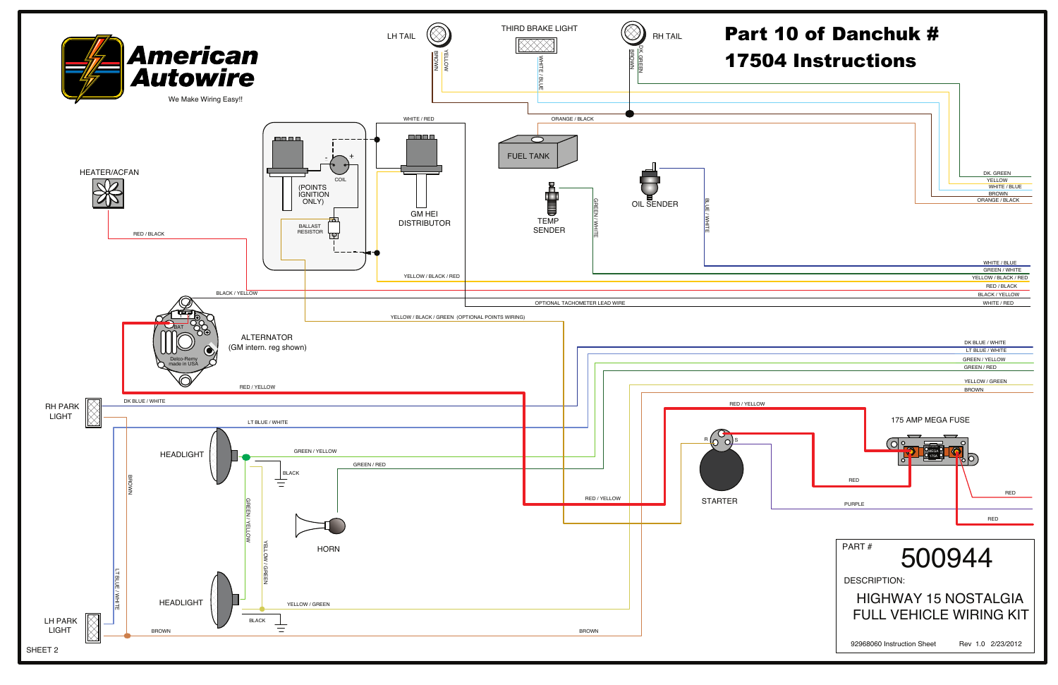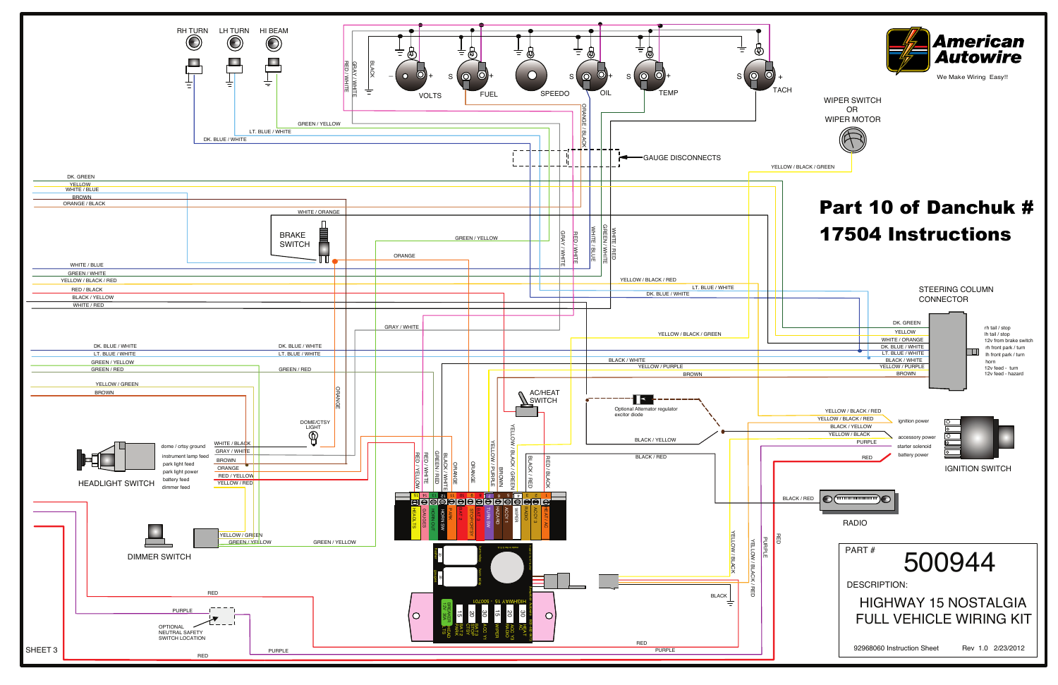